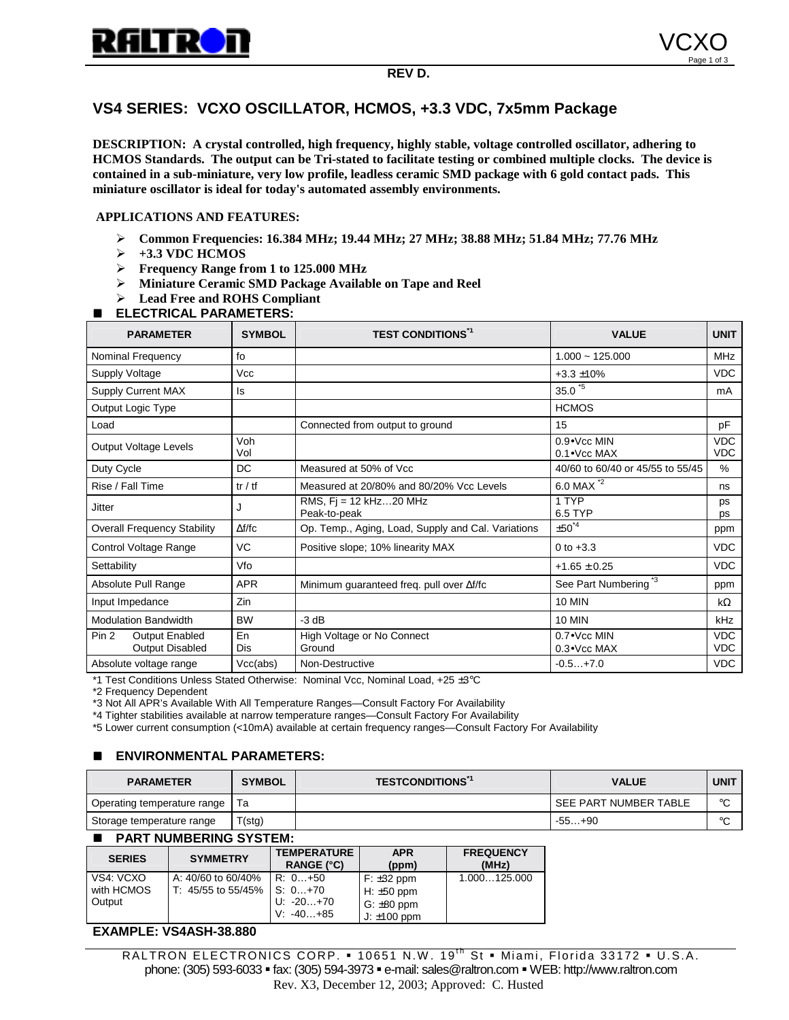

# **VS4 SERIES: VCXO OSCILLATOR, HCMOS, +3.3 VDC, 7x5mm Package**

**DESCRIPTION: A crystal controlled, high frequency, highly stable, voltage controlled oscillator, adhering to HCMOS Standards. The output can be Tri-stated to facilitate testing or combined multiple clocks. The device is contained in a sub-miniature, very low profile, leadless ceramic SMD package with 6 gold contact pads. This miniature oscillator is ideal for today's automated assembly environments.**

#### **APPLICATIONS AND FEATURES:**

- " **Common Frequencies: 16.384 MHz; 19.44 MHz; 27 MHz; 38.88 MHz; 51.84 MHz; 77.76 MHz**
- $\rightarrow$  +3.3 VDC HCMOS
- " **Frequency Range from 1 to 125.000 MHz**
- " **Miniature Ceramic SMD Package Available on Tape and Reel**
- " **Lead Free and ROHS Compliant**

### **ELECTRICAL PARAMETERS:**

| <b>PARAMETER</b>                                  | <b>SYMBOL</b>                             | <b>TEST CONDITIONS*1</b>                           | <b>VALUE</b>                               | <b>UNIT</b>              |
|---------------------------------------------------|-------------------------------------------|----------------------------------------------------|--------------------------------------------|--------------------------|
| Nominal Frequency                                 | fo                                        |                                                    | $1.000 - 125.000$                          |                          |
| <b>Supply Voltage</b>                             | Vcc                                       | $+3.3 \pm 10\%$                                    |                                            | <b>VDC</b>               |
| <b>Supply Current MAX</b>                         | Is                                        | $35.0*5$                                           |                                            | mA                       |
| Output Logic Type                                 |                                           | <b>HCMOS</b>                                       |                                            |                          |
| Load                                              |                                           | 15<br>Connected from output to ground              |                                            | pF                       |
| Output Voltage Levels                             | Voh<br>Vol                                |                                                    | $0.9 \cdot$ Vcc MIN<br>$0.1 \cdot$ Vcc MAX | <b>VDC</b><br><b>VDC</b> |
| Duty Cycle                                        | <b>DC</b>                                 | Measured at 50% of Vcc                             | 40/60 to 60/40 or 45/55 to 55/45           |                          |
| Rise / Fall Time                                  | tr / tf                                   | Measured at 20/80% and 80/20% Vcc Levels           | 6.0 MAX *2                                 | ns                       |
| <b>Jitter</b>                                     | J                                         | RMS, $Fi = 12$ kHz $$ 20 MHz<br>Peak-to-peak       | 1 TYP<br>6.5 TYP                           | ps<br>ps                 |
| <b>Overall Frequency Stability</b>                | $\Delta f/fc$                             | Op. Temp., Aging, Load, Supply and Cal. Variations | $\pm 50^{4}$<br>ppm                        |                          |
| Control Voltage Range                             | VC                                        | Positive slope; 10% linearity MAX                  | <b>VDC</b><br>0 to $+3.3$                  |                          |
| Settability                                       | Vfo                                       |                                                    | $+1.65 \pm 0.25$                           | <b>VDC</b>               |
| Absolute Pull Range                               | <b>APR</b>                                | Minimum guaranteed freq. pull over Af/fc           | See Part Numbering <sup>*3</sup>           | ppm                      |
| Input Impedance                                   | Zin                                       |                                                    | <b>10 MIN</b>                              | $k\Omega$                |
| <b>Modulation Bandwidth</b>                       | <b>BW</b>                                 | $-3 dB$                                            | <b>10 MIN</b>                              | kHz                      |
| Pin 2<br><b>Output Enabled</b><br>Output Disabled | En<br>Dis                                 | High Voltage or No Connect<br>Ground               | $0.7 \cdot$ Vcc MIN<br>$0.3 \cdot$ Vcc MAX | <b>VDC</b><br><b>VDC</b> |
| Absolute voltage range                            | Vcc(abs)<br>Non-Destructive<br>$-0.5+7.0$ |                                                    |                                            | <b>VDC</b>               |

\*1 Test Conditions Unless Stated Otherwise: Nominal Vcc, Nominal Load, +25 ±3°C

\*2 Frequency Dependent<br>\*3 Not All APR's Available With All Temperature Ranges—Consult Factory For Availability

\*4 Tighter stabilities available at narrow temperature ranges—Consult Factory For Availability

\*5 Lower current consumption (<10mA) available at certain frequency ranges—Consult Factory For Availability

## **ENVIRONMENTAL PARAMETERS:**

| <b>PARAMETER</b>            | <b>SYMBOL</b> | <b>TESTCONDITIONS</b> | <b>VALUE</b>          | <b>UNIT</b> |
|-----------------------------|---------------|-----------------------|-----------------------|-------------|
| Operating temperature range |               |                       | SEE PART NUMBER TABLE | $\circ$     |
| Storage temperature range   | T(stg)        |                       | $-55+90$              | $\circ$     |

#### $\blacksquare$  **PART NUMBERING SYSTEM:**

| <b>SERIES</b> | <b>SYMMETRY</b>    | <b>TEMPERATURE</b><br><b>RANGE (°C)</b> | <b>APR</b><br>(ppm)     | <b>FREQUENCY</b><br>(MHz) |
|---------------|--------------------|-----------------------------------------|-------------------------|---------------------------|
| VS4: VCXO     | A: 40/60 to 60/40% | R: 0+50                                 | $F: \pm 32$ ppm         | 1.000125.000              |
| with HCMOS    | T: 45/55 to 55/45% | $\mathsf{S}: 0+70$                      | $H: \pm 50$ ppm         |                           |
| Output        |                    | U: -20+70                               | $\cdot$ G: $\pm$ 80 ppm |                           |
|               |                    | $V. -40+85$                             | J: $\pm 100$ ppm        |                           |

#### **EXAMPLE: VS4ASH-38.880**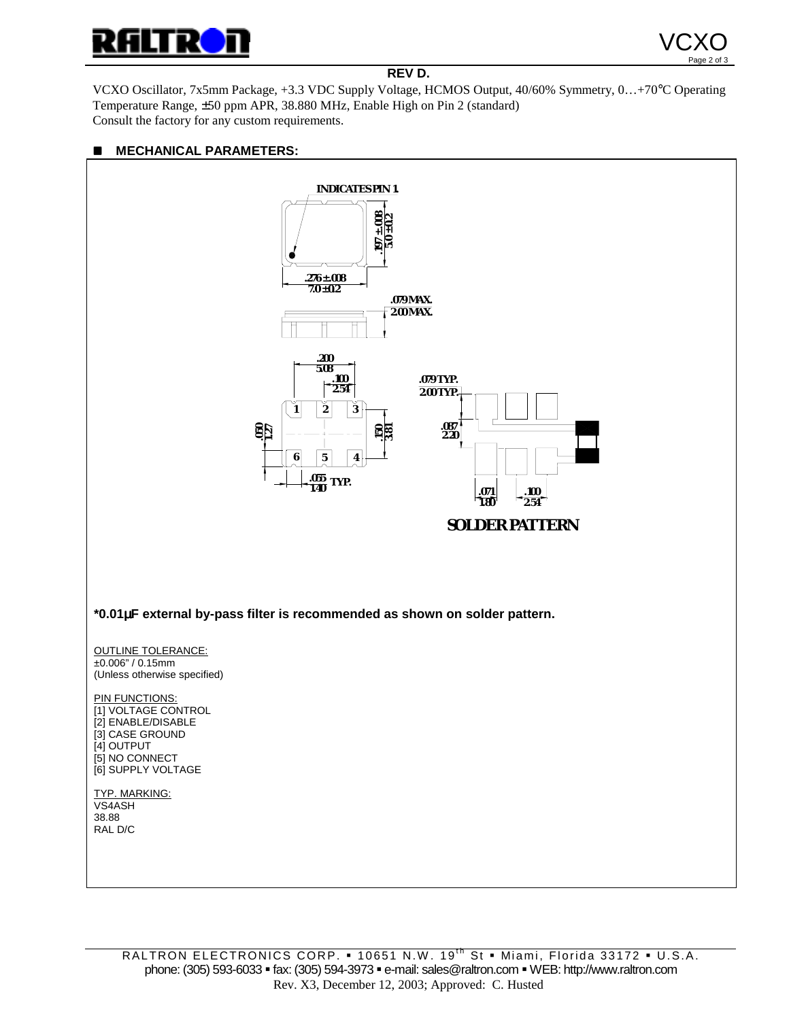



## **REV D.**

VCXO Oscillator, 7x5mm Package, +3.3 VDC Supply Voltage, HCMOS Output, 40/60% Symmetry, 0…+70°C Operating Temperature Range, ±50 ppm APR, 38.880 MHz, Enable High on Pin 2 (standard) Consult the factory for any custom requirements.

## $M$  **MECHANICAL PARAMETERS:**